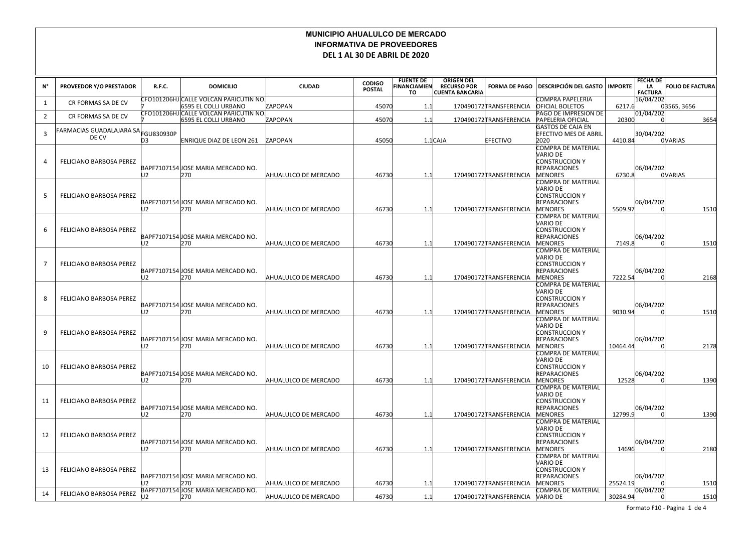## **MUNICIPIO AHUALULCO DE MERCADO INFORMATIVA DE PROVEEDORES DEL 1 AL 30 DE ABRIL DE 2020**

| N°             | <b>PROVEEDOR Y/O PRESTADOR</b>                             | R.F.C.         | <b>DOMICILIO</b>                                                     | <b>CIUDAD</b>        | <b>CODIGO</b><br><b>POSTAL</b> | <b>FUENTE DE</b><br><b>FINANCIAMIEN</b><br>TO. | <b>ORIGEN DEL</b><br><b>RECURSO POR</b><br><b>CUENTA BANCARIA</b> | <b>FORMA DE PAGO</b>    | <b>DESCRIPCIÓN DEL GASTO</b>                                                                     | <b>IMPORTE</b> | <b>FECHA DE</b><br>LA<br><b>FACTURA</b> | <b>FOLIO DE FACTURA</b> |
|----------------|------------------------------------------------------------|----------------|----------------------------------------------------------------------|----------------------|--------------------------------|------------------------------------------------|-------------------------------------------------------------------|-------------------------|--------------------------------------------------------------------------------------------------|----------------|-----------------------------------------|-------------------------|
| 1              | CR FORMAS SA DE CV                                         |                | CFO101206HJ CALLE VOLCAN PARICUTIN NO<br><b>6595 EL COLLI URBANO</b> | <b>APOPAN</b>        | 45070                          | 1.1                                            |                                                                   | 170490172 TRANSFERENCIA | COMPRA PAPELERIA<br><b>OFICIAL BOLETOS</b>                                                       | 6217.6         | 16/04/202                               | 03565, 3656             |
| $\overline{2}$ | CR FORMAS SA DE CV                                         |                | CFO101206HJ CALLE VOLCAN PARICUTIN NO<br>6595 EL COLLI URBANO        | ZAPOPAN              | 45070                          | 1.1                                            |                                                                   | 170490172 TRANSFERENCIA | PAGO DE IMPRESION DE<br><b>PAPELERIA OFICIAL</b>                                                 | 20300          | 01/04/202                               | 3654                    |
| 3              | -<br>ARMACIAS GUADALAJARA SA $ _{\rm FGU830930P}$<br>DE CV | D <sub>3</sub> | <b>ENRIQUE DIAZ DE LEON 261</b>                                      | ZAPOPAN              | 45050                          |                                                | $1.1$ CAJA                                                        | <b>EFECTIVO</b>         | <b>GASTOS DE CAJA EN</b><br><b>EFECTIVO MES DE ABRIL</b><br>2020                                 | 4410.84        | 30/04/202                               | <b>OVARIAS</b>          |
| 4              | <b>FELICIANO BARBOSA PEREZ</b>                             | U2             | BAPF7107154 JOSE MARIA MERCADO NO.<br>270                            | AHUALULCO DE MERCADO | 46730                          | 1.1                                            |                                                                   | 170490172TRANSFERENCIA  | COMPRA DE MATERIAL<br>VARIO DE<br><b>CONSTRUCCION Y</b><br><b>REPARACIONES</b><br><b>MENORES</b> | 6730.8         | 06/04/202                               | <b>OVARIAS</b>          |
| 5              | FELICIANO BARBOSA PEREZ                                    | 12             | BAPF7107154 JOSE MARIA MERCADO NO.<br>270                            | AHUALULCO DE MERCADO | 46730                          | 1.1                                            |                                                                   | 170490172TRANSFERENCIA  | COMPRA DE MATERIAL<br>VARIO DE<br><b>CONSTRUCCION Y</b><br><b>REPARACIONES</b><br><b>MENORES</b> | 5509.97        | 06/04/202                               | 1510                    |
| 6              | FELICIANO BARBOSA PEREZ                                    | 12             | BAPF7107154 JOSE MARIA MERCADO NO.<br>270                            | AHUALULCO DE MERCADO | 46730                          | 1.1                                            |                                                                   | 170490172TRANSFERENCIA  | COMPRA DE MATERIAL<br>VARIO DE<br><b>CONSTRUCCION Y</b><br><b>REPARACIONES</b><br><b>MENORES</b> | 7149.8         | 06/04/202                               | 1510                    |
| -7             | FELICIANO BARBOSA PEREZ                                    | J2             | BAPF7107154 JOSE MARIA MERCADO NO.<br>270                            | AHUALULCO DE MERCADO | 46730                          | 1.1                                            |                                                                   | 170490172TRANSFERENCIA  | COMPRA DE MATERIAL<br>VARIO DE<br><b>CONSTRUCCION Y</b><br><b>REPARACIONES</b><br><b>MENORES</b> | 7222.54        | 06/04/202                               | 2168                    |
| 8              | FELICIANO BARBOSA PEREZ                                    | 12             | BAPF7107154 JOSE MARIA MERCADO NO.<br>270                            | AHUALULCO DE MERCADO | 46730                          | 1.1                                            |                                                                   | 170490172TRANSFERENCIA  | COMPRA DE MATERIAL<br>NARIO DE<br><b>CONSTRUCCION Y</b><br><b>REPARACIONES</b><br><b>MENORES</b> | 9030.94        | 06/04/202                               | 1510                    |
| 9              | <b>FELICIANO BARBOSA PEREZ</b>                             | U2             | BAPF7107154 JOSE MARIA MERCADO NO.<br>270                            | AHUALULCO DE MERCADO | 46730                          | 1.1                                            |                                                                   | 170490172TRANSFERENCIA  | COMPRA DE MATERIAL<br>VARIO DE<br><b>CONSTRUCCION Y</b><br><b>REPARACIONES</b><br><b>MENORES</b> | 10464.44       | 06/04/202                               | 2178                    |
| 10             | FELICIANO BARBOSA PEREZ                                    | J2             | BAPF7107154 JOSE MARIA MERCADO NO.<br>270                            | AHUALULCO DE MERCADO | 46730                          | 1.1                                            |                                                                   | 170490172TRANSFERENCIA  | COMPRA DE MATERIAL<br>VARIO DE<br><b>CONSTRUCCION Y</b><br><b>REPARACIONES</b><br><b>MENORES</b> | 12528          | 06/04/202                               | 1390                    |
| 11             | FELICIANO BARBOSA PEREZ                                    | J2             | BAPF7107154 JOSE MARIA MERCADO NO.<br>270                            | AHUALULCO DE MERCADO | 46730                          | 1.1                                            |                                                                   | 170490172TRANSFERENCIA  | COMPRA DE MATERIAL<br>VARIO DE<br><b>CONSTRUCCION Y</b><br><b>REPARACIONES</b><br><b>MENORES</b> | 12799.9        | 06/04/202                               | 1390                    |
| 12             | <b>FELICIANO BARBOSA PEREZ</b>                             | 12             | BAPF7107154 JOSE MARIA MERCADO NO.<br>270                            | AHUALULCO DE MERCADO | 46730                          | 1.1                                            |                                                                   | 170490172TRANSFERENCIA  | COMPRA DE MATERIAL<br>VARIO DE<br><b>CONSTRUCCION Y</b><br><b>REPARACIONES</b><br><b>MENORES</b> | 14696          | 06/04/202                               | 2180                    |
| 13             | <b>FELICIANO BARBOSA PEREZ</b>                             |                | BAPF7107154 JOSE MARIA MERCADO NO.<br>270                            | AHUALULCO DE MERCADO | 46730                          | 1.1                                            |                                                                   | 170490172TRANSFERENCIA  | COMPRA DE MATERIAL<br>VARIO DE<br><b>CONSTRUCCION Y</b><br><b>REPARACIONES</b><br><b>MENORES</b> | 25524.19       | 06/04/202                               | 1510                    |
| 14             | FELICIANO BARBOSA PEREZ                                    | כו             | BAPF7107154 JOSE MARIA MERCADO NO.<br>270                            | AHUALULCO DE MERCADO | 46730                          | 1.1                                            |                                                                   | 170490172 TRANSFERENCIA | COMPRA DE MATERIAL<br><b>NARIO DE</b>                                                            | 30284.94       | 06/04/202                               | 1510                    |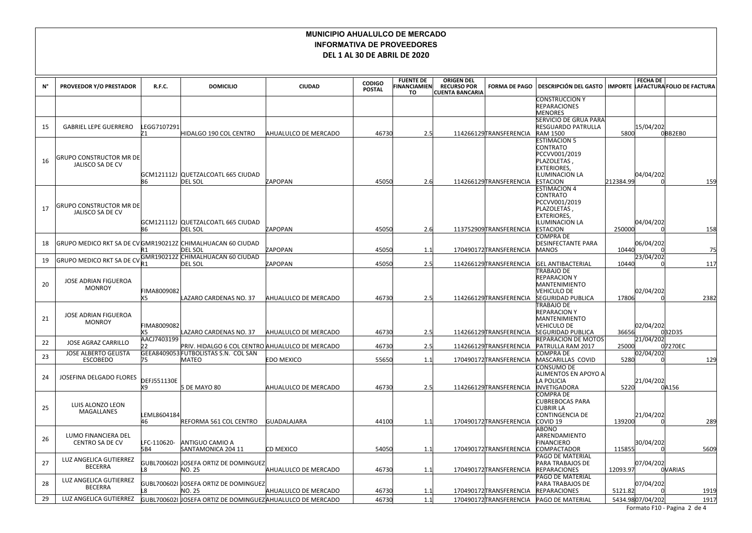## **MUNICIPIO AHUALULCO DE MERCADO INFORMATIVA DE PROVEEDORES DEL 1 AL 30 DE ABRIL DE 2020**

| N° | PROVEEDOR Y/O PRESTADOR                                                  | R.F.C.                   | <b>DOMICILIO</b>                                          | <b>CIUDAD</b>        | <b>CODIGO</b><br><b>POSTAL</b> | <b>FUENTE DE</b><br><b>INANCIAMIEN</b><br>то | <b>ORIGEN DEL</b><br><b>RECURSO POR</b><br><b>CUENTA BANCARIA</b> | <b>FORMA DE PAGO</b>    | <b>DESCRIPCIÓN DEL GASTO</b>                                                                                               |           | <b>FECHA DE</b>  | IMPORTE LAFACTURA FOLIO DE FACTURA |
|----|--------------------------------------------------------------------------|--------------------------|-----------------------------------------------------------|----------------------|--------------------------------|----------------------------------------------|-------------------------------------------------------------------|-------------------------|----------------------------------------------------------------------------------------------------------------------------|-----------|------------------|------------------------------------|
|    |                                                                          |                          |                                                           |                      |                                |                                              |                                                                   |                         | <b>CONSTRUCCION Y</b><br><b>REPARACIONES</b><br><b>MENORES</b>                                                             |           |                  |                                    |
| 15 | <b>GABRIEL LEPE GUERRERO</b>                                             | LEGG7107291<br>171       | HIDALGO 190 COL CENTRO                                    | AHUALULCO DE MERCADO | 46730                          | 2.5                                          |                                                                   | 114266129TRANSFERENCIA  | SERVICIO DE GRUA PARA<br>RESGUARDO PATRULLA<br><b>RAM 1500</b>                                                             | 5800      | 15/04/202        | 0BB2EB0                            |
| 16 | <b>GRUPO CONSTRUCTOR MR DE</b><br>JALISCO SA DE CV                       | 86                       | GCM121112J QUETZALCOATL 665 CIUDAD<br>DEL SOL             | ZAPOPAN              | 45050                          | 2.6                                          |                                                                   | 114266129TRANSFERENCIA  | <b>ESTIMACION 5</b><br>CONTRATO<br>PCCVV001/2019<br>PLAZOLETAS,<br><b>EXTERIORES,</b><br>ILUMINACION LA<br><b>ESTACION</b> | 212384.99 | 04/04/202        | 159                                |
| 17 | <b>GRUPO CONSTRUCTOR MR DE</b><br>JALISCO SA DE CV                       | 86                       | GCM121112J QUETZALCOATL 665 CIUDAD<br>DEL SOL             | ZAPOPAN              | 45050                          | 2.6                                          |                                                                   | 113752909 TRANSFERENCIA | <b>ESTIMACION 4</b><br>CONTRATO<br>PCCVV001/2019<br>PLAZOLETAS,<br><b>EXTERIORES,</b><br>ILUMINACION LA<br><b>ESTACION</b> | 250000    | 04/04/202        | 158                                |
| 18 | GRUPO MEDICO RKT SA DE CV GMR190212Z  CHIMALHUACAN 60 CIUDAD             | IR 1                     | DEL SOL                                                   | ZAPOPAN              | 45050                          | 1.1                                          |                                                                   | 170490172TRANSFERENCIA  | COMPRA DE<br><b>DESINFECTANTE PARA</b><br><b>MANOS</b>                                                                     | 10440     | 06/04/202        | 75                                 |
| 19 | GRUPO MEDICO RKT SA DE CV <mark>GMR190212Z CHIMALHUACAN 60 CIUDAD</mark> | R1                       | DEL SOL                                                   | ZAPOPAN              | 45050                          | 2.5                                          |                                                                   | 114266129TRANSFERENCIA  | <b>GEL ANTIBACTERIAL</b>                                                                                                   | 10440     | 23/04/202        | 117                                |
| 20 | JOSE ADRIAN FIGUEROA<br><b>MONROY</b>                                    | FIMA8009082<br>X5        | LAZARO CARDENAS NO. 37                                    | AHUALULCO DE MERCADO | 46730                          | 2.5                                          |                                                                   | 114266129TRANSFERENCIA  | <b>TRABAJO DE</b><br><b>REPARACION Y</b><br>MANTENIMIENTO<br>VEHICULO DE<br><b>SEGURIDAD PUBLICA</b>                       | 17806     | 02/04/202        | 2382                               |
| 21 | JOSE ADRIAN FIGUEROA<br><b>MONROY</b>                                    | FIMA8009082<br>X5        | LAZARO CARDENAS NO. 37                                    | AHUALULCO DE MERCADO | 46730                          | 2.5                                          |                                                                   | 114266129 TRANSFERENCIA | TRABAJO DE<br><b>REPARACION Y</b><br>MANTENIMIENTO<br>VEHICULO DE<br><b>SEGURIDAD PUBLICA</b>                              | 36656     | 02/04/202        | 032D35                             |
| 22 | <b>JOSE AGRAZ CARRILLO</b>                                               | AACJ7403199<br>b٦        | PRIV. HIDALGO 6 COL CENTRO AHUALULCO DE MERCADO           |                      | 46730                          | 2.5                                          |                                                                   | 114266129TRANSFERENCIA  | REPARACION DE MOTOS<br>PATRULLA RAM 2017                                                                                   | 25000     | 21/04/202        | 07270EC                            |
| 23 | <b>JOSE ALBERTO GELISTA</b><br><b>ESCOBEDO</b>                           | 75                       | GEEA8409053 FUTBOLISTAS S.N. COL SAN<br>MATEO             | EDO MEXICO           | 55650                          | 1.1                                          |                                                                   | 170490172 TRANSFERENCIA | COMPRA DE<br>MASCARILLAS COVID                                                                                             | 5280      | 02/04/202        | 129                                |
| 24 | JOSEFINA DELGADO FLORES                                                  | <b>DEFJ551130E</b><br>X9 | 5 DE MAYO 80                                              | AHUALULCO DE MERCADO | 46730                          | 2.5                                          |                                                                   | 114266129 TRANSFERENCIA | CONSUMO DE<br>ALIMENTOS EN APOYO A<br>LA POLICIA<br>INVETIGADORA                                                           | 5220      | 21/04/202        | 0A156                              |
| 25 | LUIS ALONZO LEON<br>MAGALLANES                                           | LEML8604184<br>46        | REFORMA 561 COL CENTRO                                    | <b>GUADALAJARA</b>   | 44100                          | 1.1                                          |                                                                   | 170490172TRANSFERENCIA  | <b>COMPRA DE</b><br>CUBREBOCAS PARA<br><b>CUBRIR LA</b><br>CONTINGENCIA DE<br>COVID <sub>19</sub>                          | 139200    | 21/04/202        | 289                                |
| 26 | LUMO FINANCIERA DEL<br><b>CENTRO SA DE CV</b>                            | LFC-110620-<br>5B4       | ANTIGUO CAMIO A<br>SANTAMONICA 204 11                     | CD MEXICO            | 54050                          | 1.1                                          |                                                                   | 170490172TRANSFERENCIA  | ABONO<br>ARRENDAMIENTO<br>FINANCIERO<br><b>COMPACTADOR</b>                                                                 | 115855    | 30/04/202        | 5609                               |
| 27 | LUZ ANGELICA GUTIERREZ<br><b>BECERRA</b>                                 | L8.                      | GUBL700602I JOSEFA ORTIZ DE DOMINGUEZ<br>NO. 25           | AHUALULCO DE MERCADO | 46730                          | 1.1                                          |                                                                   | 170490172TRANSFERENCIA  | PAGO DE MATERIAL<br>PARA TRABAJOS DE<br><b>REPARACIONES</b>                                                                | 12093.97  | 07/04/202        | <b>OVARIAS</b>                     |
| 28 | LUZ ANGELICA GUTIERREZ<br><b>BECERRA</b>                                 |                          | GUBL700602I JOSEFA ORTIZ DE DOMINGUEZ<br>NO. 25           | AHUALULCO DE MERCADO | 46730                          | 1.1                                          |                                                                   | 170490172 TRANSFERENCIA | PAGO DE MATERIAL<br>PARA TRABAJOS DE<br><b>REPARACIONES</b>                                                                | 5121.82   | 07/04/202        | 1919                               |
| 29 | LUZ ANGELICA GUTIERREZ                                                   |                          | GUBL700602I JOSEFA ORTIZ DE DOMINGUEZAHUALULCO DE MERCADO |                      | 46730                          | 1.1                                          |                                                                   | 170490172TRANSFERENCIA  | <b>PAGO DE MATERIAL</b>                                                                                                    |           | 5434.9807/04/202 | 1917                               |

Formato F10 - Pagina 2 de 4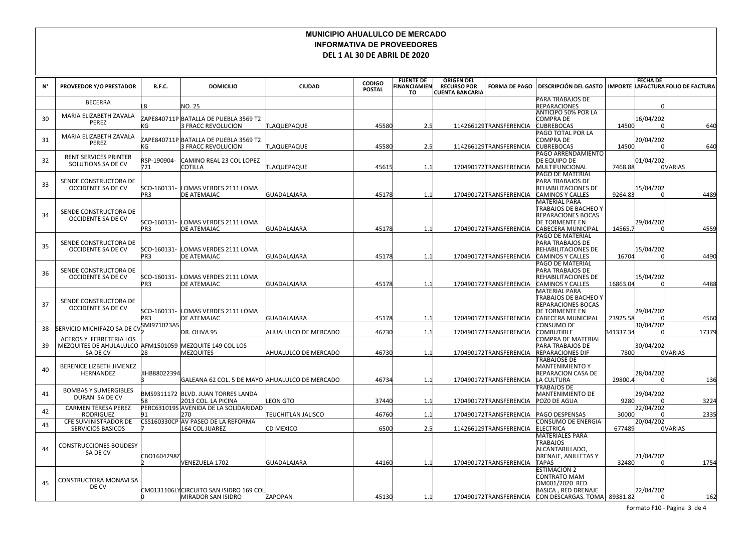## **MUNICIPIO AHUALULCO DE MERCADO INFORMATIVA DE PROVEEDORES DEL 1 AL 30 DE ABRIL DE 2020**

| N° | PROVEEDOR Y/O PRESTADOR                                                                               | R.F.C.                         | <b>DOMICILIO</b>                                                                 | <b>CIUDAD</b>                    | <b>CODIGO</b>  | <b>FUENTE DE</b><br><b>INANCIAMIEN</b> | <b>ORIGEN DEL</b><br><b>RECURSO POR</b> | <b>FORMA DE PAGO</b>                             | <b>DESCRIPCIÓN DEL GASTO</b>                                                                                                     |           | <b>FECHA DE</b> | IMPORTE LAFACTURA FOLIO DE FACTURA |
|----|-------------------------------------------------------------------------------------------------------|--------------------------------|----------------------------------------------------------------------------------|----------------------------------|----------------|----------------------------------------|-----------------------------------------|--------------------------------------------------|----------------------------------------------------------------------------------------------------------------------------------|-----------|-----------------|------------------------------------|
|    |                                                                                                       |                                |                                                                                  |                                  | <b>POSTAL</b>  | TO                                     | <b>CUENTA BANCARIA</b>                  |                                                  | PARA TRABAJOS DE                                                                                                                 |           |                 |                                    |
|    | <b>BECERRA</b>                                                                                        |                                | NO. 25                                                                           |                                  |                |                                        |                                         |                                                  | REPARACIONES                                                                                                                     |           |                 |                                    |
| 30 | MARIA ELIZABETH ZAVALA<br>PEREZ                                                                       | КG                             | ZAPE840711P BATALLA DE PUEBLA 3569 T2<br>3 FRACC REVOLUCION                      | TLAQUEPAQUE                      | 45580          | 2.5                                    |                                         | 114266129TRANSFERENCIA                           | <b>ANTICIPO 50% POR LA</b><br>COMPRA DE<br><b>CUBREBOCAS</b>                                                                     | 14500     | 16/04/202       | 640                                |
| 31 | MARIA ELIZABETH ZAVALA<br><b>PEREZ</b>                                                                | КG                             | ZAPE840711P BATALLA DE PUEBLA 3569 T2<br>3 FRACC REVOLUCION                      | TLAQUEPAQUE                      | 45580          | 2.5                                    |                                         | 114266129TRANSFERENCIA                           | PAGO TOTAL POR LA<br>COMPRA DE<br><b>CUBREBOCAS</b>                                                                              | 14500     | 20/04/202       | 640                                |
| 32 | <b>RENT SERVICES PRINTER</b><br>SOLUTIONS SA DE CV                                                    | RSP-190904-<br>721             | CAMINO REAL 23 COL LOPEZ<br>COTILLA                                              | TLAQUEPAQUE                      | 45615          | 1.1                                    |                                         | 170490172TRANSFERENCIA                           | PAGO ARRENDAMIENTO<br>DE EQUIPO DE<br><b>MULTIFUNCIONAL</b>                                                                      | 7468.88   | 01/04/202       | <b>OVARIAS</b>                     |
| 33 | SENDE CONSTRUCTORA DE<br>OCCIDENTE SA DE CV                                                           | SCO-160131-<br>PR <sub>3</sub> | LOMAS VERDES 2111 LOMA<br>DE ATEMAJAC                                            | <b>GUADALAJARA</b>               | 45178          | 1.1                                    |                                         | 170490172TRANSFERENCIA                           | <b>PAGO DE MATERIAL</b><br>PARA TRABAJOS DE<br>REHABILITACIONES DE<br><b>CAMINOS Y CALLES</b>                                    | 9264.83   | 15/04/202       | 4489                               |
| 34 | SENDE CONSTRUCTORA DE<br>OCCIDENTE SA DE CV                                                           | SCO-160131-<br>PR <sub>3</sub> | LOMAS VERDES 2111 LOMA<br>DE ATEMAJAC                                            | <b>GUADALAJARA</b>               | 45178          | 1.1                                    |                                         | 170490172TRANSFERENCIA                           | <b>MATERIAL PARA</b><br>ITRABAJOS DE BACHEO Y<br><b>REPARACIONES BOCAS</b><br><b>DE TORMENTE EN</b><br><b>CABECERA MUNICIPAL</b> | 14565.7   | 29/04/202       | 4559                               |
| 35 | SENDE CONSTRUCTORA DE<br>OCCIDENTE SA DE CV                                                           | SCO-160131-<br>PR <sub>3</sub> | LOMAS VERDES 2111 LOMA<br>DE ATEMAJAC                                            | GUADALAJARA                      | 45178          | 1.1                                    |                                         | 170490172TRANSFERENCIA                           | PAGO DE MATERIAL<br>PARA TRABAJOS DE<br>REHABILITACIONES DE<br><b>CAMINOS Y CALLES</b>                                           | 16704     | 15/04/202       | 4490                               |
| 36 | SENDE CONSTRUCTORA DE<br><b>OCCIDENTE SA DE CV</b>                                                    | SCO-160131-<br>PR <sub>3</sub> | LOMAS VERDES 2111 LOMA<br>DE ATEMAJAC                                            | <b>GUADALAJARA</b>               | 45178          | 1.1                                    |                                         | 170490172TRANSFERENCIA                           | PAGO DE MATERIAL<br>PARA TRABAJOS DE<br>REHABILITACIONES DE<br><b>CAMINOS Y CALLES</b>                                           | 16863.04  | 15/04/202       | 4488                               |
| 37 | SENDE CONSTRUCTORA DE<br><b>OCCIDENTE SA DE CV</b>                                                    | SCO-160131-<br>PR3             | LOMAS VERDES 2111 LOMA<br>DE ATEMAJAC                                            | <b>GUADALAJARA</b>               | 45178          | 1.1                                    |                                         | 170490172TRANSFERENCIA                           | <b>MATERIAL PARA</b><br>ITRABAJOS DE BACHEO Y<br><b>REPARACIONES BOCAS</b><br><b>DE TORMENTE EN</b><br>CABECERA MUNICIPAL        | 23925.58  | 29/04/202       | 4560                               |
| 38 | SERVICIO MICHIFAZO SA DE C                                                                            | SMI971023AS                    | DR. OLIVA 95                                                                     | AHUALULCO DE MERCADO             | 46730          | 1.1                                    |                                         | 170490172TRANSFERENCIA                           | CONSUMO DE<br><b>COMBUTIBLE</b>                                                                                                  | 341337.34 | 30/04/202       | 17379                              |
| 39 | <b>ACEROS Y FERRETERIA LOS</b><br>MEZQUITES DE AHULALULCO AFM1501059 MEZQUITE 149 COL LOS<br>SA DE CV | 28                             | <b>MEZQUITES</b>                                                                 | AHUALULCO DE MERCADO             | 46730          | 1.1                                    |                                         | 170490172TRANSFERENCIA                           | COMPRA DE MATERIAL<br>PARA TRABAJOS DE<br><b>REPARACIONES DIF</b>                                                                | 7800      | 30/04/202       | <b>OVARIAS</b>                     |
| 40 | <b>BERENICE LIZBETH JIMENEZ</b><br><b>HERNANDEZ</b>                                                   | JIHB88022394                   | GALEANA 62 COL. 5 DE MAYO AHUALULCO DE MERCADO                                   |                                  | 46734          | 1.1                                    |                                         | 170490172TRANSFERENCIA                           | TRABAJOSE DE<br>MANTENIMIENTO Y<br><b>REPARACION CASA DE</b><br>LA CULTURA                                                       | 29800.4   | 28/04/202       | 136                                |
| 41 | <b>BOMBAS Y SUMERGIBLES</b><br>DURAN SA DE CV                                                         | 58                             | BMS9311172 BLVD. JUAN TORRES LANDA<br>2013 COL. LA PICINA                        | EON GTO                          | 37440          | 1.1                                    |                                         | 170490172TRANSFERENCIA                           | <b>TRABAJOS DE</b><br>MANTENIMIENTO DE<br>POZO DE AGUA                                                                           | 9280      | 29/04/202       | 3224                               |
| 42 | <b>CARMEN TERESA PEREZ</b><br><b>RODRIGUEZ</b>                                                        | 91                             | PERC631019S AVENIDA DE LA SOLIDARIDAD<br>270                                     | <b><i>FEUCHITLAN JALISCO</i></b> | 46760          | 1.1                                    |                                         | 170490172TRANSFERENCIA                           | <b>PAGO DESPENSAS</b>                                                                                                            | 30000     | 22/04/202       | 2335                               |
| 43 | <b>CFE SUMINISTRADOR DE</b><br>SERVICIOS BASICOS                                                      |                                | lCSS160330CP lAV PASEO DE LA REFORMA<br>164 COL JUAREZ                           | CD MEXICO                        | 6500           | 2.5                                    |                                         | 114266129TRANSFERENCIA                           | CONSUMO DE ENERGIA<br><b>ELECTRICA</b>                                                                                           | 677489    | 20/04/202       | <b>OVARIAS</b>                     |
| 44 | <b>CONSTRUCCIONES BOUDESY</b><br>SA DE CV                                                             | CBO1604298Z                    |                                                                                  |                                  |                |                                        |                                         |                                                  | <b>MATERIALES PARA</b><br>TRABAJOS<br>ALCANTARILLADO,<br><b>DRENAJE, ANILLETAS Y</b>                                             |           | 21/04/202       |                                    |
| 45 | <b>CONSTRUCTORA MONAVI SA</b><br>DE CV                                                                |                                | VENEZUELA 1702<br>ICM0131106LYICIRCUITO SAN ISIDRO 169 COL<br>MIRADOR SAN ISIDRO | <b>GUADALAJARA</b><br>ZAPOPAN    | 44160<br>45130 | 1.1<br>1.1                             |                                         | 170490172TRANSFERENCIA<br>170490172TRANSFERENCIA | <b>TAPAS</b><br><b>ESTIMACION 2</b><br>CONTRATO MAM<br>OM001/2020 RED<br>BASICA . RED DRENAJE<br>CON DESCARGAS. TOMA 89381.82    | 32480     | 22/04/202       | 1754<br>162                        |